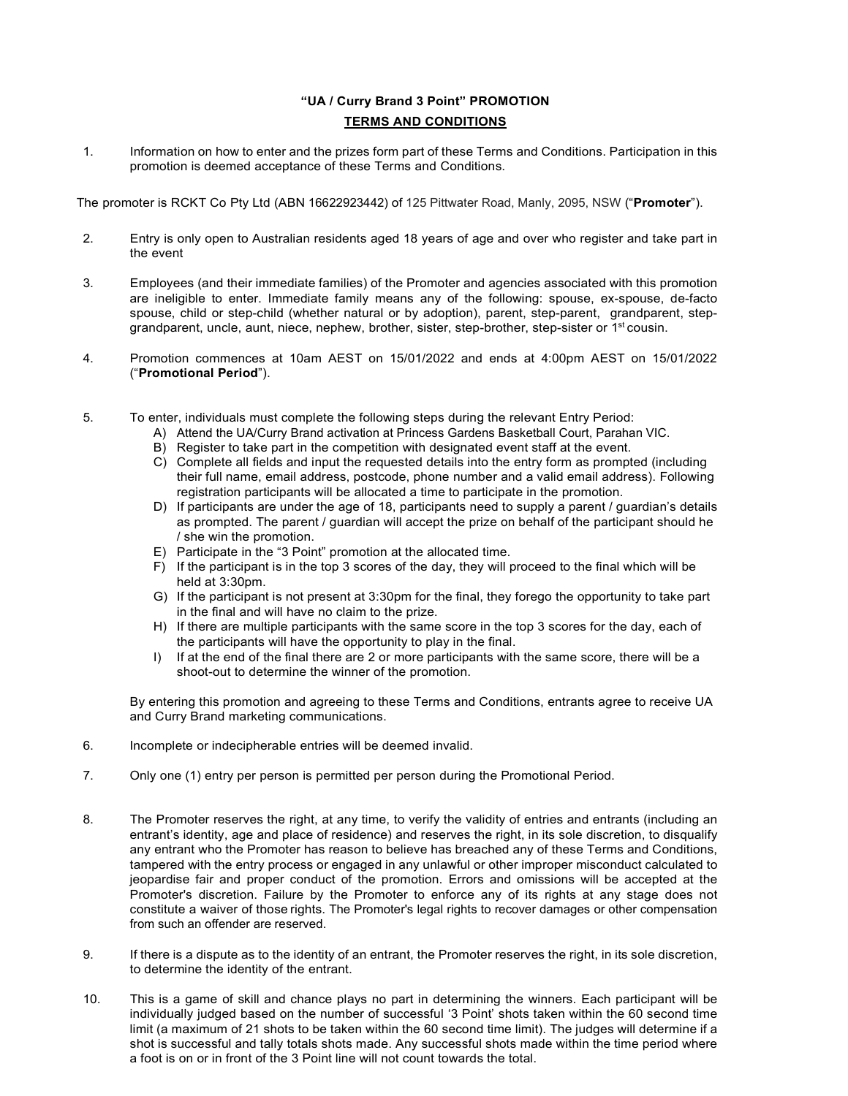## "UA / Curry Brand 3 Point" PROMOTION TERMS AND CONDITIONS

1. Information on how to enter and the prizes form part of these Terms and Conditions. Participation in this promotion is deemed acceptance of these Terms and Conditions.

The promoter is RCKT Co Pty Ltd (ABN 16622923442) of 125 Pittwater Road, Manly, 2095, NSW ("Promoter").

- 2. Entry is only open to Australian residents aged 18 years of age and over who register and take part in the event
- 3. Employees (and their immediate families) of the Promoter and agencies associated with this promotion are ineligible to enter. Immediate family means any of the following: spouse, ex-spouse, de-facto spouse, child or step-child (whether natural or by adoption), parent, step-parent, grandparent, stepgrandparent, uncle, aunt, niece, nephew, brother, sister, step-brother, step-sister or 1st cousin.
- 4. Promotion commences at 10am AEST on 15/01/2022 and ends at 4:00pm AEST on 15/01/2022 ("Promotional Period").
- 5. To enter, individuals must complete the following steps during the relevant Entry Period:
	- A) Attend the UA/Curry Brand activation at Princess Gardens Basketball Court, Parahan VIC.
	- B) Register to take part in the competition with designated event staff at the event.
	- C) Complete all fields and input the requested details into the entry form as prompted (including their full name, email address, postcode, phone number and a valid email address). Following registration participants will be allocated a time to participate in the promotion.
	- D) If participants are under the age of 18, participants need to supply a parent / guardian's details as prompted. The parent / guardian will accept the prize on behalf of the participant should he / she win the promotion.
	- E) Participate in the "3 Point" promotion at the allocated time.
	- F) If the participant is in the top 3 scores of the day, they will proceed to the final which will be held at 3:30pm.
	- G) If the participant is not present at 3:30pm for the final, they forego the opportunity to take part in the final and will have no claim to the prize.
	- H) If there are multiple participants with the same score in the top 3 scores for the day, each of the participants will have the opportunity to play in the final.
	- I) If at the end of the final there are 2 or more participants with the same score, there will be a shoot-out to determine the winner of the promotion.

By entering this promotion and agreeing to these Terms and Conditions, entrants agree to receive UA and Curry Brand marketing communications.

- 6. Incomplete or indecipherable entries will be deemed invalid.
- 7. Only one (1) entry per person is permitted per person during the Promotional Period.
- 8. The Promoter reserves the right, at any time, to verify the validity of entries and entrants (including an entrant's identity, age and place of residence) and reserves the right, in its sole discretion, to disqualify any entrant who the Promoter has reason to believe has breached any of these Terms and Conditions, tampered with the entry process or engaged in any unlawful or other improper misconduct calculated to jeopardise fair and proper conduct of the promotion. Errors and omissions will be accepted at the Promoter's discretion. Failure by the Promoter to enforce any of its rights at any stage does not constitute a waiver of those rights. The Promoter's legal rights to recover damages or other compensation from such an offender are reserved.
- 9. If there is a dispute as to the identity of an entrant, the Promoter reserves the right, in its sole discretion, to determine the identity of the entrant.
- 10. This is a game of skill and chance plays no part in determining the winners. Each participant will be individually judged based on the number of successful '3 Point' shots taken within the 60 second time limit (a maximum of 21 shots to be taken within the 60 second time limit). The judges will determine if a shot is successful and tally totals shots made. Any successful shots made within the time period where a foot is on or in front of the 3 Point line will not count towards the total.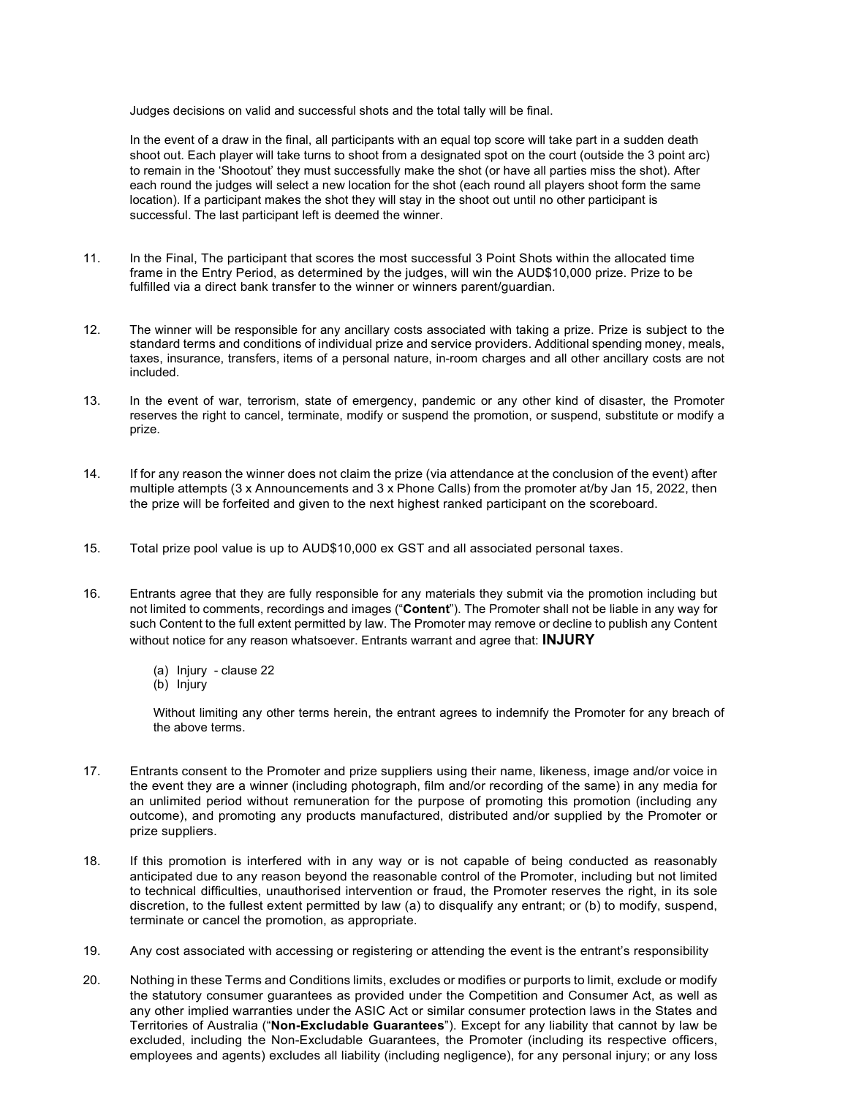Judges decisions on valid and successful shots and the total tally will be final.

In the event of a draw in the final, all participants with an equal top score will take part in a sudden death shoot out. Each player will take turns to shoot from a designated spot on the court (outside the 3 point arc) to remain in the 'Shootout' they must successfully make the shot (or have all parties miss the shot). After each round the judges will select a new location for the shot (each round all players shoot form the same location). If a participant makes the shot they will stay in the shoot out until no other participant is successful. The last participant left is deemed the winner.

- 11. In the Final, The participant that scores the most successful 3 Point Shots within the allocated time frame in the Entry Period, as determined by the judges, will win the AUD\$10,000 prize. Prize to be fulfilled via a direct bank transfer to the winner or winners parent/guardian.
- 12. The winner will be responsible for any ancillary costs associated with taking a prize. Prize is subject to the standard terms and conditions of individual prize and service providers. Additional spending money, meals, taxes, insurance, transfers, items of a personal nature, in-room charges and all other ancillary costs are not included.
- 13. In the event of war, terrorism, state of emergency, pandemic or any other kind of disaster, the Promoter reserves the right to cancel, terminate, modify or suspend the promotion, or suspend, substitute or modify a prize.
- 14. If for any reason the winner does not claim the prize (via attendance at the conclusion of the event) after multiple attempts (3 x Announcements and 3 x Phone Calls) from the promoter at/by Jan 15, 2022, then the prize will be forfeited and given to the next highest ranked participant on the scoreboard.
- 15. Total prize pool value is up to AUD\$10,000 ex GST and all associated personal taxes.
- 16. Entrants agree that they are fully responsible for any materials they submit via the promotion including but not limited to comments, recordings and images ("Content"). The Promoter shall not be liable in any way for such Content to the full extent permitted by law. The Promoter may remove or decline to publish any Content without notice for any reason whatsoever. Entrants warrant and agree that: **INJURY** 
	- (a) Injury clause 22
	- (b) Injury

Without limiting any other terms herein, the entrant agrees to indemnify the Promoter for any breach of the above terms.

- 17. Entrants consent to the Promoter and prize suppliers using their name, likeness, image and/or voice in the event they are a winner (including photograph, film and/or recording of the same) in any media for an unlimited period without remuneration for the purpose of promoting this promotion (including any outcome), and promoting any products manufactured, distributed and/or supplied by the Promoter or prize suppliers.
- 18. If this promotion is interfered with in any way or is not capable of being conducted as reasonably anticipated due to any reason beyond the reasonable control of the Promoter, including but not limited to technical difficulties, unauthorised intervention or fraud, the Promoter reserves the right, in its sole discretion, to the fullest extent permitted by law (a) to disqualify any entrant; or (b) to modify, suspend, terminate or cancel the promotion, as appropriate.
- 19. Any cost associated with accessing or registering or attending the event is the entrant's responsibility
- 20. Nothing in these Terms and Conditions limits, excludes or modifies or purports to limit, exclude or modify the statutory consumer guarantees as provided under the Competition and Consumer Act, as well as any other implied warranties under the ASIC Act or similar consumer protection laws in the States and Territories of Australia ("Non-Excludable Guarantees"). Except for any liability that cannot by law be excluded, including the Non-Excludable Guarantees, the Promoter (including its respective officers, employees and agents) excludes all liability (including negligence), for any personal injury; or any loss